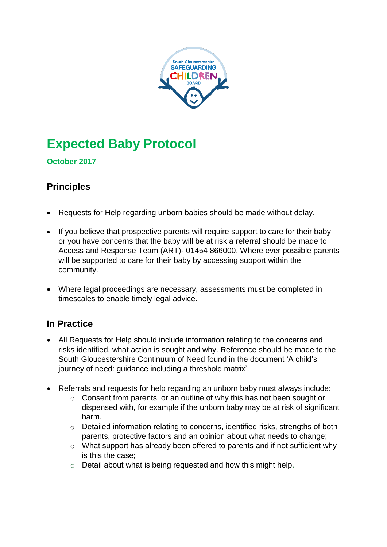

# **Expected Baby Protocol**

## **October 2017**

# **Principles**

- Requests for Help regarding unborn babies should be made without delay.
- If you believe that prospective parents will require support to care for their baby or you have concerns that the baby will be at risk a referral should be made to Access and Response Team (ART)- 01454 866000. Where ever possible parents will be supported to care for their baby by accessing support within the community.
- Where legal proceedings are necessary, assessments must be completed in timescales to enable timely legal advice.

# **In Practice**

- All Requests for Help should include information relating to the concerns and risks identified, what action is sought and why. Reference should be made to the South Gloucestershire Continuum of Need found in the document 'A child's journey of need: guidance including a threshold matrix'.
- Referrals and requests for help regarding an unborn baby must always include:
	- o Consent from parents, or an outline of why this has not been sought or dispensed with, for example if the unborn baby may be at risk of significant harm.
	- o Detailed information relating to concerns, identified risks, strengths of both parents, protective factors and an opinion about what needs to change;
	- o What support has already been offered to parents and if not sufficient why is this the case;
	- o Detail about what is being requested and how this might help.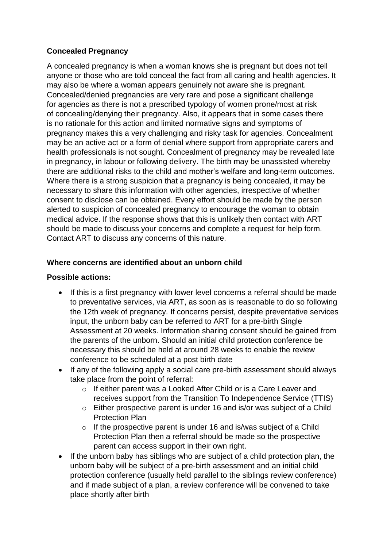## **Concealed Pregnancy**

A concealed pregnancy is when a woman knows she is pregnant but does not tell anyone or those who are told conceal the fact from all caring and health agencies. It may also be where a woman appears genuinely not aware she is pregnant. Concealed/denied pregnancies are very rare and pose a significant challenge for agencies as there is not a prescribed typology of women prone/most at risk of concealing/denying their pregnancy. Also, it appears that in some cases there is no rationale for this action and limited normative signs and symptoms of pregnancy makes this a very challenging and risky task for agencies. Concealment may be an active act or a form of denial where support from appropriate carers and health professionals is not sought. Concealment of pregnancy may be revealed late in pregnancy, in labour or following delivery. The birth may be unassisted whereby there are additional risks to the child and mother's welfare and long-term outcomes. Where there is a strong suspicion that a pregnancy is being concealed, it may be necessary to share this information with other agencies, irrespective of whether consent to disclose can be obtained. Every effort should be made by the person alerted to suspicion of concealed pregnancy to encourage the woman to obtain medical advice. If the response shows that this is unlikely then contact with ART should be made to discuss your concerns and complete a request for help form. Contact ART to discuss any concerns of this nature.

### **Where concerns are identified about an unborn child**

#### **Possible actions:**

- If this is a first pregnancy with lower level concerns a referral should be made to preventative services, via ART, as soon as is reasonable to do so following the 12th week of pregnancy. If concerns persist, despite preventative services input, the unborn baby can be referred to ART for a pre-birth Single Assessment at 20 weeks. Information sharing consent should be gained from the parents of the unborn. Should an initial child protection conference be necessary this should be held at around 28 weeks to enable the review conference to be scheduled at a post birth date
- If any of the following apply a social care pre-birth assessment should always take place from the point of referral:
	- o If either parent was a Looked After Child or is a Care Leaver and receives support from the Transition To Independence Service (TTIS)
	- o Either prospective parent is under 16 and is/or was subject of a Child Protection Plan
	- o If the prospective parent is under 16 and is/was subject of a Child Protection Plan then a referral should be made so the prospective parent can access support in their own right.
- If the unborn baby has siblings who are subject of a child protection plan, the unborn baby will be subject of a pre-birth assessment and an initial child protection conference (usually held parallel to the siblings review conference) and if made subject of a plan, a review conference will be convened to take place shortly after birth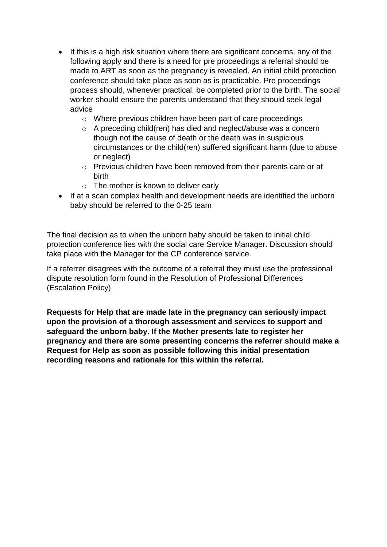- If this is a high risk situation where there are significant concerns, any of the following apply and there is a need for pre proceedings a referral should be made to ART as soon as the pregnancy is revealed. An initial child protection conference should take place as soon as is practicable. Pre proceedings process should, whenever practical, be completed prior to the birth. The social worker should ensure the parents understand that they should seek legal advice
	- o Where previous children have been part of care proceedings
	- o A preceding child(ren) has died and neglect/abuse was a concern though not the cause of death or the death was in suspicious circumstances or the child(ren) suffered significant harm (due to abuse or neglect)
	- o Previous children have been removed from their parents care or at birth
	- o The mother is known to deliver early
- If at a scan complex health and development needs are identified the unborn baby should be referred to the 0-25 team

The final decision as to when the unborn baby should be taken to initial child protection conference lies with the social care Service Manager. Discussion should take place with the Manager for the CP conference service.

If a referrer disagrees with the outcome of a referral they must use the professional dispute resolution form found in the Resolution of Professional Differences (Escalation Policy).

**Requests for Help that are made late in the pregnancy can seriously impact upon the provision of a thorough assessment and services to support and safeguard the unborn baby. If the Mother presents late to register her pregnancy and there are some presenting concerns the referrer should make a Request for Help as soon as possible following this initial presentation recording reasons and rationale for this within the referral.**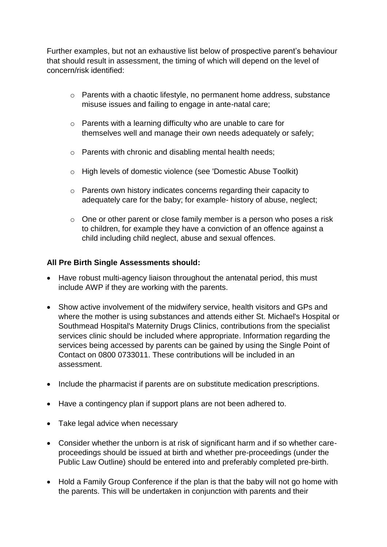Further examples, but not an exhaustive list below of prospective parent's behaviour that should result in assessment, the timing of which will depend on the level of concern/risk identified:

- o Parents with a chaotic lifestyle, no permanent home address, substance misuse issues and failing to engage in ante-natal care;
- o Parents with a learning difficulty who are unable to care for themselves well and manage their own needs adequately or safely;
- o Parents with chronic and disabling mental health needs;
- o High levels of domestic violence (see 'Domestic Abuse Toolkit)
- o Parents own history indicates concerns regarding their capacity to adequately care for the baby; for example- history of abuse, neglect;
- o One or other parent or close family member is a person who poses a risk to children, for example they have a conviction of an offence against a child including child neglect, abuse and sexual offences.

#### **All Pre Birth Single Assessments should:**

- Have robust multi-agency liaison throughout the antenatal period, this must include AWP if they are working with the parents.
- Show active involvement of the midwifery service, health visitors and GPs and where the mother is using substances and attends either St. Michael's Hospital or Southmead Hospital's Maternity Drugs Clinics, contributions from the specialist services clinic should be included where appropriate. Information regarding the services being accessed by parents can be gained by using the Single Point of Contact on 0800 0733011. These contributions will be included in an assessment.
- Include the pharmacist if parents are on substitute medication prescriptions.
- Have a contingency plan if support plans are not been adhered to.
- Take legal advice when necessary
- Consider whether the unborn is at risk of significant harm and if so whether careproceedings should be issued at birth and whether pre-proceedings (under the Public Law Outline) should be entered into and preferably completed pre-birth.
- Hold a Family Group Conference if the plan is that the baby will not go home with the parents. This will be undertaken in conjunction with parents and their